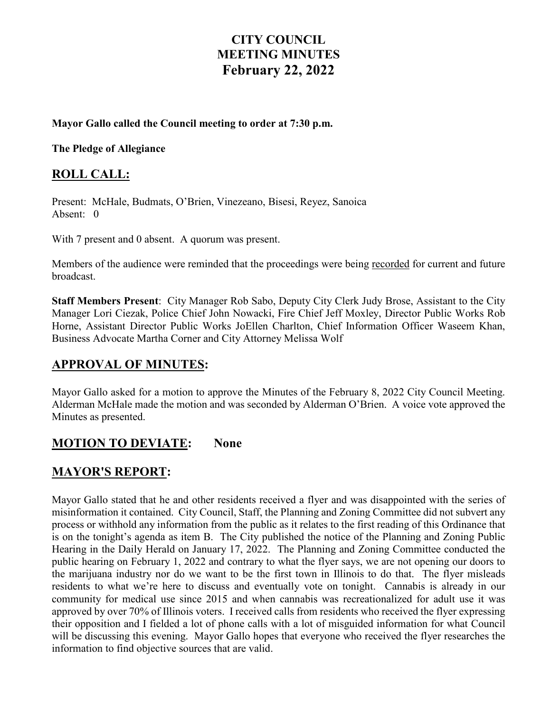# **CITY COUNCIL MEETING MINUTES February 22, 2022**

#### **Mayor Gallo called the Council meeting to order at 7:30 p.m.**

**The Pledge of Allegiance** 

#### **ROLL CALL:**

Present: McHale, Budmats, O'Brien, Vinezeano, Bisesi, Reyez, Sanoica Absent: 0

With 7 present and 0 absent. A quorum was present.

Members of the audience were reminded that the proceedings were being recorded for current and future broadcast.

**Staff Members Present**: City Manager Rob Sabo, Deputy City Clerk Judy Brose, Assistant to the City Manager Lori Ciezak, Police Chief John Nowacki, Fire Chief Jeff Moxley, Director Public Works Rob Horne, Assistant Director Public Works JoEllen Charlton, Chief Information Officer Waseem Khan, Business Advocate Martha Corner and City Attorney Melissa Wolf

# **APPROVAL OF MINUTES:**

Mayor Gallo asked for a motion to approve the Minutes of the February 8, 2022 City Council Meeting. Alderman McHale made the motion and was seconded by Alderman O'Brien. A voice vote approved the Minutes as presented.

# **MOTION TO DEVIATE: None**

# **MAYOR'S REPORT:**

Mayor Gallo stated that he and other residents received a flyer and was disappointed with the series of misinformation it contained. City Council, Staff, the Planning and Zoning Committee did not subvert any process or withhold any information from the public as it relates to the first reading of this Ordinance that is on the tonight's agenda as item B. The City published the notice of the Planning and Zoning Public Hearing in the Daily Herald on January 17, 2022. The Planning and Zoning Committee conducted the public hearing on February 1, 2022 and contrary to what the flyer says, we are not opening our doors to the marijuana industry nor do we want to be the first town in Illinois to do that. The flyer misleads residents to what we're here to discuss and eventually vote on tonight. Cannabis is already in our community for medical use since 2015 and when cannabis was recreationalized for adult use it was approved by over 70% of Illinois voters. I received calls from residents who received the flyer expressing their opposition and I fielded a lot of phone calls with a lot of misguided information for what Council will be discussing this evening. Mayor Gallo hopes that everyone who received the flyer researches the information to find objective sources that are valid.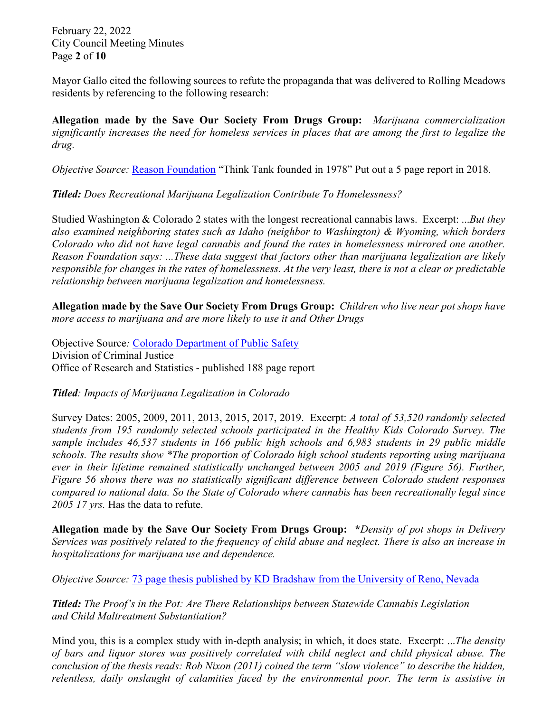February 22, 2022 City Council Meeting Minutes Page **2** of **10**

Mayor Gallo cited the following sources to refute the propaganda that was delivered to Rolling Meadows residents by referencing to the following research:

**Allegation made by the Save Our Society From Drugs Group:** *Marijuana commercialization significantly increases the need for homeless services in places that are among the first to legalize the drug.*

*Objective Source: [Reason Foundation](https://reason.org/wp-content/uploads/2018/05/homelessness-effect-of-marijuana.pdf)* "Think Tank founded in 1978" Put out a 5 page report in 2018.

*Titled: Does Recreational Marijuana Legalization Contribute To Homelessness?*

Studied Washington & Colorado 2 states with the longest recreational cannabis laws. Excerpt: ...*But they also examined neighboring states such as Idaho (neighbor to Washington) & Wyoming, which borders Colorado who did not have legal cannabis and found the rates in homelessness mirrored one another. Reason Foundation says: ...These data suggest that factors other than marijuana legalization are likely responsible for changes in the rates of homelessness. At the very least, there is not a clear or predictable relationship between marijuana legalization and homelessness.*

**Allegation made by the Save Our Society From Drugs Group:** *Children who live near pot shops have more access to marijuana and are more likely to use it and Other Drugs*

Objective Source*:* [Colorado Department of Public Safety](https://cdpsdocs.state.co.us/ors/docs/reports/2021-SB13-283_Rpt.pdf) Division of Criminal Justice Office of Research and Statistics - published 188 page report

*Titled: Impacts of Marijuana Legalization in Colorado*

Survey Dates: 2005, 2009, 2011, 2013, 2015, 2017, 2019. Excerpt: *A total of 53,520 randomly selected students from 195 randomly selected schools participated in the Healthy Kids Colorado Survey. The sample includes 46,537 students in 166 public high schools and 6,983 students in 29 public middle schools. The results show \*The proportion of Colorado high school students reporting using marijuana ever in their lifetime remained statistically unchanged between 2005 and 2019 (Figure 56). Further, Figure 56 shows there was no statistically significant difference between Colorado student responses compared to national data. So the State of Colorado where cannabis has been recreationally legal since 2005 17 yrs.* Has the data to refute.

**Allegation made by the Save Our Society From Drugs Group: \****Density of pot shops in Delivery Services was positively related to the frequency of child abuse and neglect. There is also an increase in hospitalizations for marijuana use and dependence.*

*Objective Source:* [73 page thesis published by KD Bradshaw from the University of Reno, Nevada](https://scholarworks.unr.edu/bitstream/handle/11714/7680/Bradshaw_unr_0139M_13338.pdf?sequence=1)

*Titled: The Proof's in the Pot: Are There Relationships between Statewide Cannabis Legislation and Child Maltreatment Substantiation?*

Mind you, this is a complex study with in-depth analysis; in which, it does state. Excerpt: ...*The density of bars and liquor stores was positively correlated with child neglect and child physical abuse. The conclusion of the thesis reads: Rob Nixon (2011) coined the term "slow violence" to describe the hidden, relentless, daily onslaught of calamities faced by the environmental poor. The term is assistive in*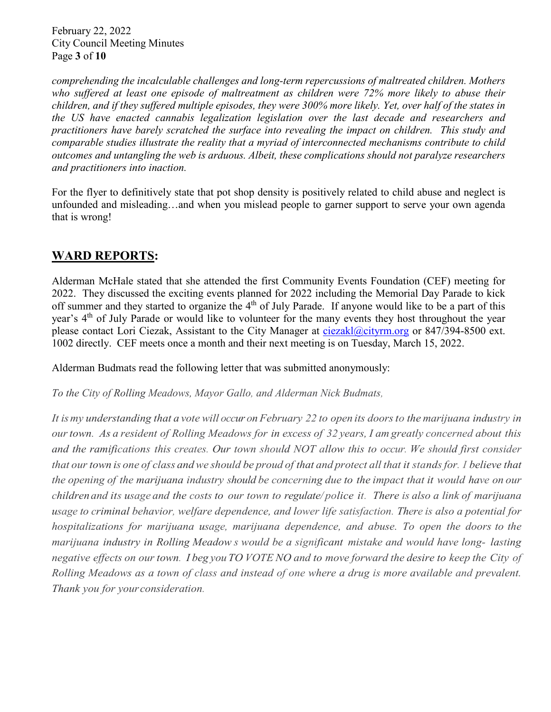February 22, 2022 City Council Meeting Minutes Page **3** of **10**

*comprehending the incalculable challenges and long-term repercussions of maltreated children. Mothers who suffered at least one episode of maltreatment as children were 72% more likely to abuse their children, and if they suffered multiple episodes, they were 300% more likely. Yet, over half of the states in the US have enacted cannabis legalization legislation over the last decade and researchers and practitioners have barely scratched the surface into revealing the impact on children. This study and comparable studies illustrate the reality that a myriad of interconnected mechanisms contribute to child outcomes and untangling the web is arduous. Albeit, these complications should not paralyze researchers and practitioners into inaction.*

For the flyer to definitively state that pot shop density is positively related to child abuse and neglect is unfounded and misleading…and when you mislead people to garner support to serve your own agenda that is wrong!

# **WARD REPORTS:**

Alderman McHale stated that she attended the first Community Events Foundation (CEF) meeting for 2022. They discussed the exciting events planned for 2022 including the Memorial Day Parade to kick off summer and they started to organize the 4<sup>th</sup> of July Parade. If anyone would like to be a part of this year's 4<sup>th</sup> of July Parade or would like to volunteer for the many events they host throughout the year please contact Lori Ciezak, Assistant to the City Manager at [ciezakl@cityrm.org](mailto:ciezakl@cityrm.org) or 847/394-8500 ext. 1002 directly. CEF meets once a month and their next meeting is on Tuesday, March 15, 2022.

Alderman Budmats read the following letter that was submitted anonymously:

*To the City of Rolling Meadows, Mayor Gallo, and Alderman Nick Budmats,*

It is my understanding that a vote will occur on February 22 to open its doors to the marijuana industry in our town. As a resident of Rolling Meadows for in excess of 32 years, I am greatly concerned about this *and the ramifications this creates. Our town should NOT allow this to occur. We should first consider* that our town is one of class and we should be proud of that and protect all that it stands for. I believe that the opening of the marijuana industry should be concerning due to the impact that it would have on our children and its usage and the costs to our town to regulate/police it. There is also a link of marijuana *usage to criminal behavior, welfare dependence, and lower life satisfaction. There is also a potential for hospitalizations for marijuana usage, marijuana dependence, and abuse. To open the doors to the marijuana industry in Rolling Meadow s would be a significant mistake and would have long- lasting* negative effects on our town. I beg you TO VOTE NO and to move forward the desire to keep the City of *Rolling Meadows as a town of class and instead of one where a drug is more available and prevalent. Thank you for yourconsideration.*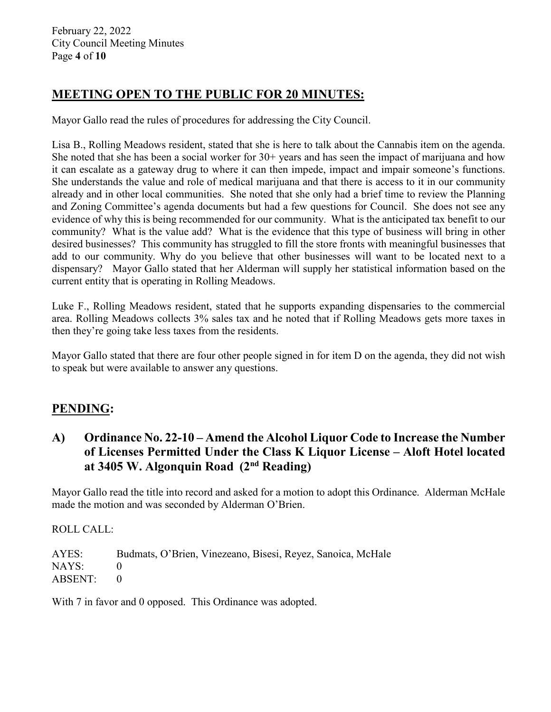February 22, 2022 City Council Meeting Minutes Page **4** of **10**

# **MEETING OPEN TO THE PUBLIC FOR 20 MINUTES:**

Mayor Gallo read the rules of procedures for addressing the City Council.

Lisa B., Rolling Meadows resident, stated that she is here to talk about the Cannabis item on the agenda. She noted that she has been a social worker for  $30+$  years and has seen the impact of marijuana and how it can escalate as a gateway drug to where it can then impede, impact and impair someone's functions. She understands the value and role of medical marijuana and that there is access to it in our community already and in other local communities. She noted that she only had a brief time to review the Planning and Zoning Committee's agenda documents but had a few questions for Council. She does not see any evidence of why this is being recommended for our community. What is the anticipated tax benefit to our community? What is the value add? What is the evidence that this type of business will bring in other desired businesses? This community has struggled to fill the store fronts with meaningful businesses that add to our community. Why do you believe that other businesses will want to be located next to a dispensary? Mayor Gallo stated that her Alderman will supply her statistical information based on the current entity that is operating in Rolling Meadows.

Luke F., Rolling Meadows resident, stated that he supports expanding dispensaries to the commercial area. Rolling Meadows collects 3% sales tax and he noted that if Rolling Meadows gets more taxes in then they're going take less taxes from the residents.

Mayor Gallo stated that there are four other people signed in for item D on the agenda, they did not wish to speak but were available to answer any questions.

#### **PENDING:**

# **A) Ordinance No. 22-10 – Amend the Alcohol Liquor Code to Increase the Number of Licenses Permitted Under the Class K Liquor License – Aloft Hotel located at 3405 W. Algonquin Road (2nd Reading)**

Mayor Gallo read the title into record and asked for a motion to adopt this Ordinance. Alderman McHale made the motion and was seconded by Alderman O'Brien.

ROLL CALL:

AYES: Budmats, O'Brien, Vinezeano, Bisesi, Reyez, Sanoica, McHale NAYS: 0 ABSENT: 0

With 7 in favor and 0 opposed. This Ordinance was adopted.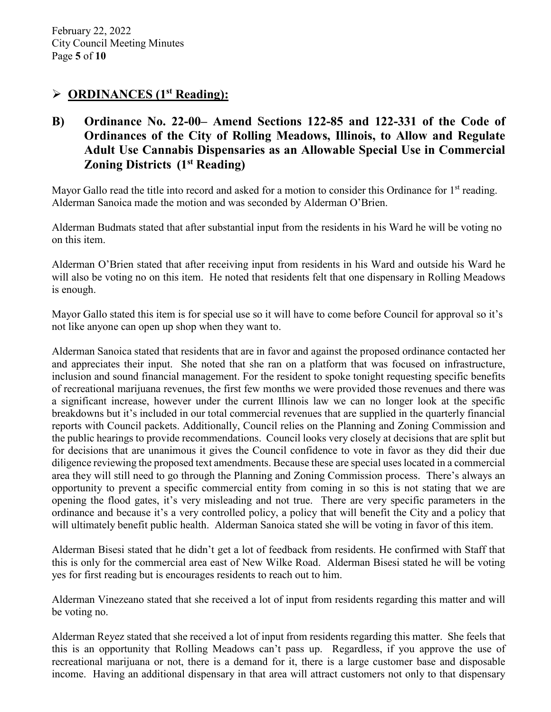#### **ORDINANCES (1st Reading):**

**B) Ordinance No. 22-00– Amend Sections 122-85 and 122-331 of the Code of Ordinances of the City of Rolling Meadows, Illinois, to Allow and Regulate Adult Use Cannabis Dispensaries as an Allowable Special Use in Commercial Zoning Districts (1st Reading)**

Mayor Gallo read the title into record and asked for a motion to consider this Ordinance for  $1<sup>st</sup>$  reading. Alderman Sanoica made the motion and was seconded by Alderman O'Brien.

Alderman Budmats stated that after substantial input from the residents in his Ward he will be voting no on this item.

Alderman O'Brien stated that after receiving input from residents in his Ward and outside his Ward he will also be voting no on this item. He noted that residents felt that one dispensary in Rolling Meadows is enough.

Mayor Gallo stated this item is for special use so it will have to come before Council for approval so it's not like anyone can open up shop when they want to.

Alderman Sanoica stated that residents that are in favor and against the proposed ordinance contacted her and appreciates their input. She noted that she ran on a platform that was focused on infrastructure, inclusion and sound financial management. For the resident to spoke tonight requesting specific benefits of recreational marijuana revenues, the first few months we were provided those revenues and there was a significant increase, however under the current Illinois law we can no longer look at the specific breakdowns but it's included in our total commercial revenues that are supplied in the quarterly financial reports with Council packets. Additionally, Council relies on the Planning and Zoning Commission and the public hearings to provide recommendations. Council looks very closely at decisions that are split but for decisions that are unanimous it gives the Council confidence to vote in favor as they did their due diligence reviewing the proposed text amendments. Because these are special uses located in a commercial area they will still need to go through the Planning and Zoning Commission process. There's always an opportunity to prevent a specific commercial entity from coming in so this is not stating that we are opening the flood gates, it's very misleading and not true. There are very specific parameters in the ordinance and because it's a very controlled policy, a policy that will benefit the City and a policy that will ultimately benefit public health. Alderman Sanoica stated she will be voting in favor of this item.

Alderman Bisesi stated that he didn't get a lot of feedback from residents. He confirmed with Staff that this is only for the commercial area east of New Wilke Road. Alderman Bisesi stated he will be voting yes for first reading but is encourages residents to reach out to him.

Alderman Vinezeano stated that she received a lot of input from residents regarding this matter and will be voting no.

Alderman Reyez stated that she received a lot of input from residents regarding this matter. She feels that this is an opportunity that Rolling Meadows can't pass up. Regardless, if you approve the use of recreational marijuana or not, there is a demand for it, there is a large customer base and disposable income. Having an additional dispensary in that area will attract customers not only to that dispensary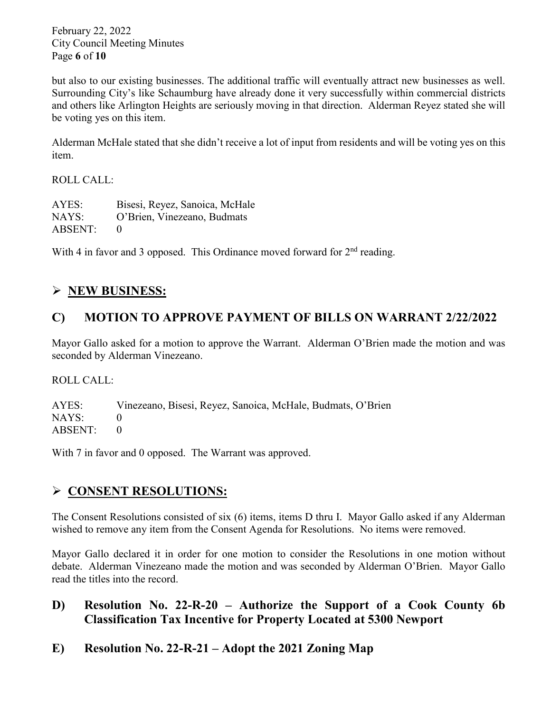February 22, 2022 City Council Meeting Minutes Page **6** of **10**

but also to our existing businesses. The additional traffic will eventually attract new businesses as well. Surrounding City's like Schaumburg have already done it very successfully within commercial districts and others like Arlington Heights are seriously moving in that direction. Alderman Reyez stated she will be voting yes on this item.

Alderman McHale stated that she didn't receive a lot of input from residents and will be voting yes on this item.

#### ROLL CALL:

| AYES:   | Bisesi, Reyez, Sanoica, McHale |
|---------|--------------------------------|
| NAYS:   | O'Brien, Vinezeano, Budmats    |
| ABSENT: |                                |

With 4 in favor and 3 opposed. This Ordinance moved forward for  $2<sup>nd</sup>$  reading.

# **NEW BUSINESS:**

# **C) MOTION TO APPROVE PAYMENT OF BILLS ON WARRANT 2/22/2022**

Mayor Gallo asked for a motion to approve the Warrant. Alderman O'Brien made the motion and was seconded by Alderman Vinezeano.

ROLL CALL:

AYES: Vinezeano, Bisesi, Reyez, Sanoica, McHale, Budmats, O'Brien NAYS: 0 ABSENT: 0

With 7 in favor and 0 opposed. The Warrant was approved.

# **CONSENT RESOLUTIONS:**

The Consent Resolutions consisted of six (6) items, items D thru I. Mayor Gallo asked if any Alderman wished to remove any item from the Consent Agenda for Resolutions. No items were removed.

Mayor Gallo declared it in order for one motion to consider the Resolutions in one motion without debate. Alderman Vinezeano made the motion and was seconded by Alderman O'Brien. Mayor Gallo read the titles into the record.

#### **D) Resolution No. 22-R-20 – Authorize the Support of a Cook County 6b Classification Tax Incentive for Property Located at 5300 Newport**

**E) Resolution No. 22-R-21 – Adopt the 2021 Zoning Map**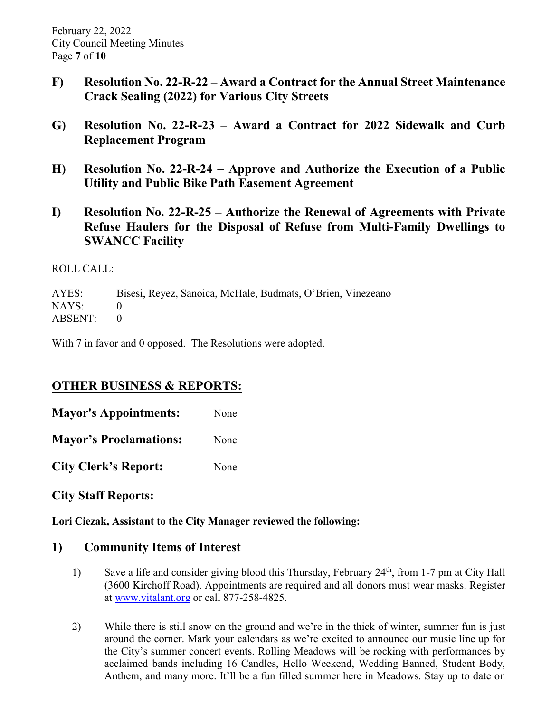- **F) Resolution No. 22-R-22 – Award a Contract for the Annual Street Maintenance Crack Sealing (2022) for Various City Streets**
- **G) Resolution No. 22-R-23 – Award a Contract for 2022 Sidewalk and Curb Replacement Program**
- **H) Resolution No. 22-R-24 – Approve and Authorize the Execution of a Public Utility and Public Bike Path Easement Agreement**
- **I) Resolution No. 22-R-25 – Authorize the Renewal of Agreements with Private Refuse Haulers for the Disposal of Refuse from Multi-Family Dwellings to SWANCC Facility**

#### ROLL CALL:

AYES: Bisesi, Reyez, Sanoica, McHale, Budmats, O'Brien, Vinezeano NAYS: 0  $ABSENT: 0$ 

With 7 in favor and 0 opposed. The Resolutions were adopted.

#### **OTHER BUSINESS & REPORTS:**

**Mayor's Appointments:** None

**Mayor's Proclamations:** None

**City Clerk's Report:** None

**City Staff Reports:** 

**Lori Ciezak, Assistant to the City Manager reviewed the following:** 

#### **1) Community Items of Interest**

- 1) Save a life and consider giving blood this Thursday, February 24<sup>th</sup>, from 1-7 pm at City Hall (3600 Kirchoff Road). Appointments are required and all donors must wear masks. Register at [www.vitalant.org](http://www.vitalant.org/) or call 877-258-4825.
- 2) While there is still snow on the ground and we're in the thick of winter, summer fun is just around the corner. Mark your calendars as we're excited to announce our music line up for the City's summer concert events. Rolling Meadows will be rocking with performances by acclaimed bands including 16 Candles, Hello Weekend, Wedding Banned, Student Body, Anthem, and many more. It'll be a fun filled summer here in Meadows. Stay up to date on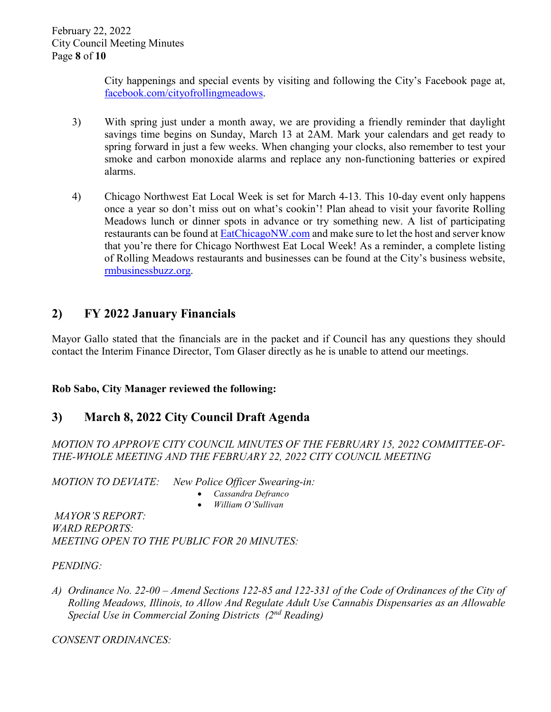February 22, 2022 City Council Meeting Minutes Page **8** of **10**

> City happenings and special events by visiting and following the City's Facebook page at, [facebook.com/cityofrollingmeadows.](http://www.facebook.com/cityofrollingmeadows)

- 3) With spring just under a month away, we are providing a friendly reminder that daylight savings time begins on Sunday, March 13 at 2AM. Mark your calendars and get ready to spring forward in just a few weeks. When changing your clocks, also remember to test your smoke and carbon monoxide alarms and replace any non-functioning batteries or expired alarms.
- 4) Chicago Northwest Eat Local Week is set for March 4-13. This 10-day event only happens once a year so don't miss out on what's cookin'! Plan ahead to visit your favorite Rolling Meadows lunch or dinner spots in advance or try something new. A list of participating restaurants can be found at [EatChicagoNW.com](http://www.eatchicagonw.com/) and make sure to let the host and server know that you're there for Chicago Northwest Eat Local Week! As a reminder, a complete listing of Rolling Meadows restaurants and businesses can be found at the City's business website, [rmbusinessbuzz.org.](http://www.rmbusinessbuzz.org/)

# **2) FY 2022 January Financials**

Mayor Gallo stated that the financials are in the packet and if Council has any questions they should contact the Interim Finance Director, Tom Glaser directly as he is unable to attend our meetings.

#### **Rob Sabo, City Manager reviewed the following:**

# **3) March 8, 2022 City Council Draft Agenda**

*MOTION TO APPROVE CITY COUNCIL MINUTES OF THE FEBRUARY 15, 2022 COMMITTEE-OF-THE-WHOLE MEETING AND THE FEBRUARY 22, 2022 CITY COUNCIL MEETING*

*MOTION TO DEVIATE: New Police Officer Swearing-in:* 

- *Cassandra Defranco*
- *William O'Sullivan*

*MAYOR'S REPORT: WARD REPORTS: MEETING OPEN TO THE PUBLIC FOR 20 MINUTES:* 

*PENDING:* 

*A) Ordinance No. 22-00 – Amend Sections 122-85 and 122-331 of the Code of Ordinances of the City of Rolling Meadows, Illinois, to Allow And Regulate Adult Use Cannabis Dispensaries as an Allowable Special Use in Commercial Zoning Districts (2nd Reading)*

*CONSENT ORDINANCES:*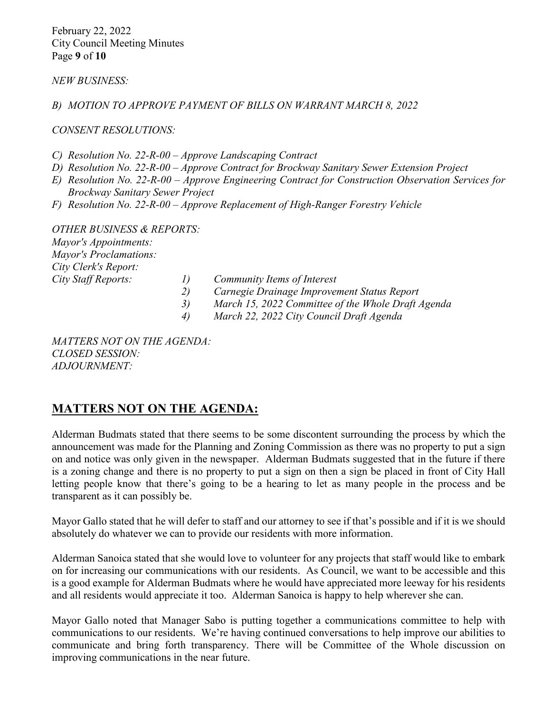February 22, 2022 City Council Meeting Minutes Page **9** of **10**

*NEW BUSINESS:*

*B) MOTION TO APPROVE PAYMENT OF BILLS ON WARRANT MARCH 8, 2022*

*CONSENT RESOLUTIONS:*

*C) Resolution No. 22-R-00 – Approve Landscaping Contract*

- *D) Resolution No. 22-R-00 – Approve Contract for Brockway Sanitary Sewer Extension Project*
- *E) Resolution No. 22-R-00 – Approve Engineering Contract for Construction Observation Services for Brockway Sanitary Sewer Project*
- *F) Resolution No. 22-R-00 – Approve Replacement of High-Ranger Forestry Vehicle*

*OTHER BUSINESS & REPORTS: Mayor's Appointments: Mayor's Proclamations: City Clerk's Report: City Staff Reports: 1) Community Items of Interest*

- *2) Carnegie Drainage Improvement Status Report*
- *3) March 15, 2022 Committee of the Whole Draft Agenda*
- *4) March 22, 2022 City Council Draft Agenda*

*MATTERS NOT ON THE AGENDA: CLOSED SESSION: ADJOURNMENT:* 

#### **MATTERS NOT ON THE AGENDA:**

Alderman Budmats stated that there seems to be some discontent surrounding the process by which the announcement was made for the Planning and Zoning Commission as there was no property to put a sign on and notice was only given in the newspaper. Alderman Budmats suggested that in the future if there is a zoning change and there is no property to put a sign on then a sign be placed in front of City Hall letting people know that there's going to be a hearing to let as many people in the process and be transparent as it can possibly be.

Mayor Gallo stated that he will defer to staff and our attorney to see if that's possible and if it is we should absolutely do whatever we can to provide our residents with more information.

Alderman Sanoica stated that she would love to volunteer for any projects that staff would like to embark on for increasing our communications with our residents. As Council, we want to be accessible and this is a good example for Alderman Budmats where he would have appreciated more leeway for his residents and all residents would appreciate it too. Alderman Sanoica is happy to help wherever she can.

Mayor Gallo noted that Manager Sabo is putting together a communications committee to help with communications to our residents. We're having continued conversations to help improve our abilities to communicate and bring forth transparency. There will be Committee of the Whole discussion on improving communications in the near future.